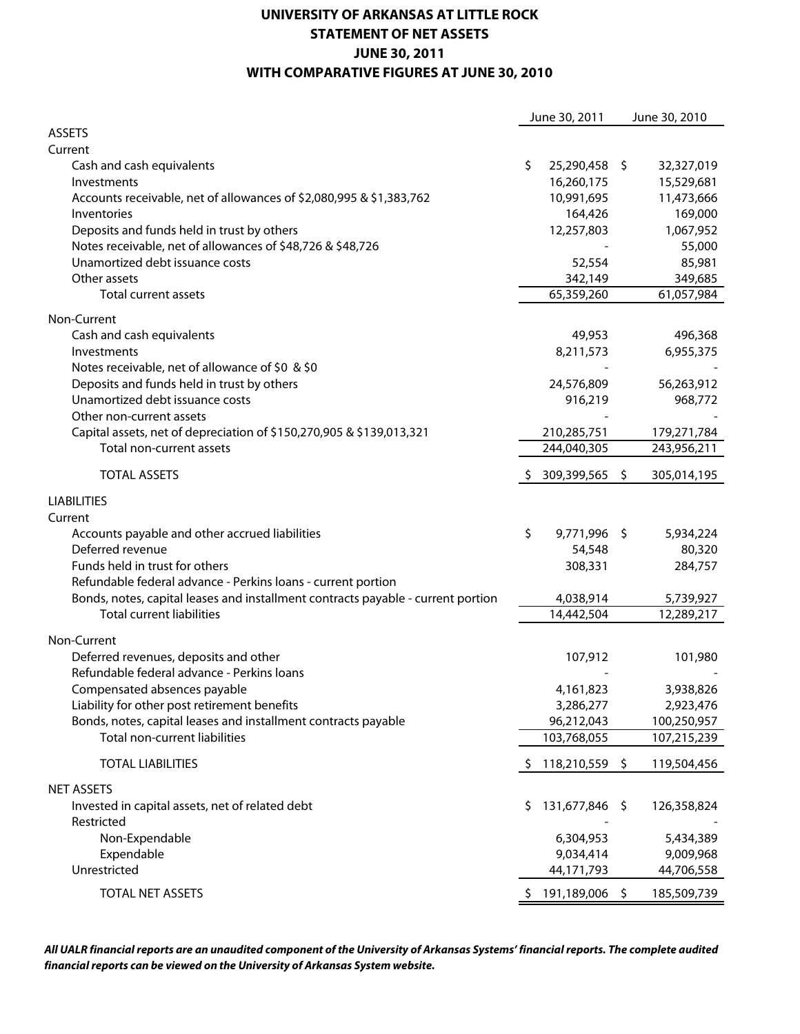## **UNIVERSITY OF ARKANSAS AT LITTLE ROCK STATEMENT OF NET ASSETS JUNE 30, 2011 WITH COMPARATIVE FIGURES AT JUNE 30, 2010**

| <b>ASSETS</b><br>Current<br>\$<br>25,290,458 \$<br>32,327,019<br>Cash and cash equivalents<br>16,260,175<br>15,529,681<br>Investments<br>Accounts receivable, net of allowances of \$2,080,995 & \$1,383,762<br>10,991,695<br>11,473,666<br>169,000<br>164,426<br>Inventories<br>Deposits and funds held in trust by others<br>12,257,803<br>1,067,952<br>Notes receivable, net of allowances of \$48,726 & \$48,726<br>55,000<br>Unamortized debt issuance costs<br>52,554<br>85,981<br>Other assets<br>342,149<br>349,685<br>Total current assets<br>65,359,260<br>61,057,984<br>Non-Current<br>Cash and cash equivalents<br>49,953<br>496,368<br>Investments<br>8,211,573<br>6,955,375<br>Notes receivable, net of allowance of \$0 & \$0<br>Deposits and funds held in trust by others<br>24,576,809<br>56,263,912<br>Unamortized debt issuance costs<br>916,219<br>968,772<br>Other non-current assets<br>Capital assets, net of depreciation of \$150,270,905 & \$139,013,321<br>210,285,751<br>179,271,784<br>244,040,305<br>243,956,211<br>Total non-current assets<br><b>TOTAL ASSETS</b><br>309,399,565<br>\$<br>305,014,195<br>-\$<br><b>LIABILITIES</b><br>Current<br>9,771,996<br>Accounts payable and other accrued liabilities<br>\$<br>5,934,224<br>- \$<br>Deferred revenue<br>80,320<br>54,548<br>Funds held in trust for others<br>284,757<br>308,331<br>Refundable federal advance - Perkins loans - current portion<br>Bonds, notes, capital leases and installment contracts payable - current portion<br>4,038,914<br>5,739,927<br><b>Total current liabilities</b><br>14,442,504<br>12,289,217<br>Non-Current<br>Deferred revenues, deposits and other<br>107,912<br>101,980<br>Refundable federal advance - Perkins loans<br>3,938,826<br>Compensated absences payable<br>4,161,823<br>Liability for other post retirement benefits<br>3,286,277<br>2,923,476<br>Bonds, notes, capital leases and installment contracts payable<br>96,212,043<br>100,250,957<br>Total non-current liabilities<br>103,768,055<br>107,215,239<br><b>TOTAL LIABILITIES</b><br>118,210,559<br>\$<br>-\$<br>119,504,456<br><b>NET ASSETS</b><br>131,677,846 \$<br>Invested in capital assets, net of related debt<br>126,358,824<br>Ş.<br>Restricted<br>Non-Expendable<br>6,304,953<br>5,434,389<br>Expendable<br>9,034,414<br>9,009,968<br>Unrestricted<br>44,171,793<br>44,706,558 |                  | June 30, 2011  | June 30, 2010 |
|------------------------------------------------------------------------------------------------------------------------------------------------------------------------------------------------------------------------------------------------------------------------------------------------------------------------------------------------------------------------------------------------------------------------------------------------------------------------------------------------------------------------------------------------------------------------------------------------------------------------------------------------------------------------------------------------------------------------------------------------------------------------------------------------------------------------------------------------------------------------------------------------------------------------------------------------------------------------------------------------------------------------------------------------------------------------------------------------------------------------------------------------------------------------------------------------------------------------------------------------------------------------------------------------------------------------------------------------------------------------------------------------------------------------------------------------------------------------------------------------------------------------------------------------------------------------------------------------------------------------------------------------------------------------------------------------------------------------------------------------------------------------------------------------------------------------------------------------------------------------------------------------------------------------------------------------------------------------------------------------------------------------------------------------------------------------------------------------------------------------------------------------------------------------------------------------------------------------------------------------------------------------------------------------------------------------------------------------------------------------------------------|------------------|----------------|---------------|
|                                                                                                                                                                                                                                                                                                                                                                                                                                                                                                                                                                                                                                                                                                                                                                                                                                                                                                                                                                                                                                                                                                                                                                                                                                                                                                                                                                                                                                                                                                                                                                                                                                                                                                                                                                                                                                                                                                                                                                                                                                                                                                                                                                                                                                                                                                                                                                                          |                  |                |               |
|                                                                                                                                                                                                                                                                                                                                                                                                                                                                                                                                                                                                                                                                                                                                                                                                                                                                                                                                                                                                                                                                                                                                                                                                                                                                                                                                                                                                                                                                                                                                                                                                                                                                                                                                                                                                                                                                                                                                                                                                                                                                                                                                                                                                                                                                                                                                                                                          |                  |                |               |
|                                                                                                                                                                                                                                                                                                                                                                                                                                                                                                                                                                                                                                                                                                                                                                                                                                                                                                                                                                                                                                                                                                                                                                                                                                                                                                                                                                                                                                                                                                                                                                                                                                                                                                                                                                                                                                                                                                                                                                                                                                                                                                                                                                                                                                                                                                                                                                                          |                  |                |               |
|                                                                                                                                                                                                                                                                                                                                                                                                                                                                                                                                                                                                                                                                                                                                                                                                                                                                                                                                                                                                                                                                                                                                                                                                                                                                                                                                                                                                                                                                                                                                                                                                                                                                                                                                                                                                                                                                                                                                                                                                                                                                                                                                                                                                                                                                                                                                                                                          |                  |                |               |
|                                                                                                                                                                                                                                                                                                                                                                                                                                                                                                                                                                                                                                                                                                                                                                                                                                                                                                                                                                                                                                                                                                                                                                                                                                                                                                                                                                                                                                                                                                                                                                                                                                                                                                                                                                                                                                                                                                                                                                                                                                                                                                                                                                                                                                                                                                                                                                                          |                  |                |               |
|                                                                                                                                                                                                                                                                                                                                                                                                                                                                                                                                                                                                                                                                                                                                                                                                                                                                                                                                                                                                                                                                                                                                                                                                                                                                                                                                                                                                                                                                                                                                                                                                                                                                                                                                                                                                                                                                                                                                                                                                                                                                                                                                                                                                                                                                                                                                                                                          |                  |                |               |
|                                                                                                                                                                                                                                                                                                                                                                                                                                                                                                                                                                                                                                                                                                                                                                                                                                                                                                                                                                                                                                                                                                                                                                                                                                                                                                                                                                                                                                                                                                                                                                                                                                                                                                                                                                                                                                                                                                                                                                                                                                                                                                                                                                                                                                                                                                                                                                                          |                  |                |               |
|                                                                                                                                                                                                                                                                                                                                                                                                                                                                                                                                                                                                                                                                                                                                                                                                                                                                                                                                                                                                                                                                                                                                                                                                                                                                                                                                                                                                                                                                                                                                                                                                                                                                                                                                                                                                                                                                                                                                                                                                                                                                                                                                                                                                                                                                                                                                                                                          |                  |                |               |
|                                                                                                                                                                                                                                                                                                                                                                                                                                                                                                                                                                                                                                                                                                                                                                                                                                                                                                                                                                                                                                                                                                                                                                                                                                                                                                                                                                                                                                                                                                                                                                                                                                                                                                                                                                                                                                                                                                                                                                                                                                                                                                                                                                                                                                                                                                                                                                                          |                  |                |               |
|                                                                                                                                                                                                                                                                                                                                                                                                                                                                                                                                                                                                                                                                                                                                                                                                                                                                                                                                                                                                                                                                                                                                                                                                                                                                                                                                                                                                                                                                                                                                                                                                                                                                                                                                                                                                                                                                                                                                                                                                                                                                                                                                                                                                                                                                                                                                                                                          |                  |                |               |
|                                                                                                                                                                                                                                                                                                                                                                                                                                                                                                                                                                                                                                                                                                                                                                                                                                                                                                                                                                                                                                                                                                                                                                                                                                                                                                                                                                                                                                                                                                                                                                                                                                                                                                                                                                                                                                                                                                                                                                                                                                                                                                                                                                                                                                                                                                                                                                                          |                  |                |               |
|                                                                                                                                                                                                                                                                                                                                                                                                                                                                                                                                                                                                                                                                                                                                                                                                                                                                                                                                                                                                                                                                                                                                                                                                                                                                                                                                                                                                                                                                                                                                                                                                                                                                                                                                                                                                                                                                                                                                                                                                                                                                                                                                                                                                                                                                                                                                                                                          |                  |                |               |
|                                                                                                                                                                                                                                                                                                                                                                                                                                                                                                                                                                                                                                                                                                                                                                                                                                                                                                                                                                                                                                                                                                                                                                                                                                                                                                                                                                                                                                                                                                                                                                                                                                                                                                                                                                                                                                                                                                                                                                                                                                                                                                                                                                                                                                                                                                                                                                                          |                  |                |               |
|                                                                                                                                                                                                                                                                                                                                                                                                                                                                                                                                                                                                                                                                                                                                                                                                                                                                                                                                                                                                                                                                                                                                                                                                                                                                                                                                                                                                                                                                                                                                                                                                                                                                                                                                                                                                                                                                                                                                                                                                                                                                                                                                                                                                                                                                                                                                                                                          |                  |                |               |
|                                                                                                                                                                                                                                                                                                                                                                                                                                                                                                                                                                                                                                                                                                                                                                                                                                                                                                                                                                                                                                                                                                                                                                                                                                                                                                                                                                                                                                                                                                                                                                                                                                                                                                                                                                                                                                                                                                                                                                                                                                                                                                                                                                                                                                                                                                                                                                                          |                  |                |               |
|                                                                                                                                                                                                                                                                                                                                                                                                                                                                                                                                                                                                                                                                                                                                                                                                                                                                                                                                                                                                                                                                                                                                                                                                                                                                                                                                                                                                                                                                                                                                                                                                                                                                                                                                                                                                                                                                                                                                                                                                                                                                                                                                                                                                                                                                                                                                                                                          |                  |                |               |
|                                                                                                                                                                                                                                                                                                                                                                                                                                                                                                                                                                                                                                                                                                                                                                                                                                                                                                                                                                                                                                                                                                                                                                                                                                                                                                                                                                                                                                                                                                                                                                                                                                                                                                                                                                                                                                                                                                                                                                                                                                                                                                                                                                                                                                                                                                                                                                                          |                  |                |               |
|                                                                                                                                                                                                                                                                                                                                                                                                                                                                                                                                                                                                                                                                                                                                                                                                                                                                                                                                                                                                                                                                                                                                                                                                                                                                                                                                                                                                                                                                                                                                                                                                                                                                                                                                                                                                                                                                                                                                                                                                                                                                                                                                                                                                                                                                                                                                                                                          |                  |                |               |
|                                                                                                                                                                                                                                                                                                                                                                                                                                                                                                                                                                                                                                                                                                                                                                                                                                                                                                                                                                                                                                                                                                                                                                                                                                                                                                                                                                                                                                                                                                                                                                                                                                                                                                                                                                                                                                                                                                                                                                                                                                                                                                                                                                                                                                                                                                                                                                                          |                  |                |               |
|                                                                                                                                                                                                                                                                                                                                                                                                                                                                                                                                                                                                                                                                                                                                                                                                                                                                                                                                                                                                                                                                                                                                                                                                                                                                                                                                                                                                                                                                                                                                                                                                                                                                                                                                                                                                                                                                                                                                                                                                                                                                                                                                                                                                                                                                                                                                                                                          |                  |                |               |
|                                                                                                                                                                                                                                                                                                                                                                                                                                                                                                                                                                                                                                                                                                                                                                                                                                                                                                                                                                                                                                                                                                                                                                                                                                                                                                                                                                                                                                                                                                                                                                                                                                                                                                                                                                                                                                                                                                                                                                                                                                                                                                                                                                                                                                                                                                                                                                                          |                  |                |               |
|                                                                                                                                                                                                                                                                                                                                                                                                                                                                                                                                                                                                                                                                                                                                                                                                                                                                                                                                                                                                                                                                                                                                                                                                                                                                                                                                                                                                                                                                                                                                                                                                                                                                                                                                                                                                                                                                                                                                                                                                                                                                                                                                                                                                                                                                                                                                                                                          |                  |                |               |
|                                                                                                                                                                                                                                                                                                                                                                                                                                                                                                                                                                                                                                                                                                                                                                                                                                                                                                                                                                                                                                                                                                                                                                                                                                                                                                                                                                                                                                                                                                                                                                                                                                                                                                                                                                                                                                                                                                                                                                                                                                                                                                                                                                                                                                                                                                                                                                                          |                  |                |               |
|                                                                                                                                                                                                                                                                                                                                                                                                                                                                                                                                                                                                                                                                                                                                                                                                                                                                                                                                                                                                                                                                                                                                                                                                                                                                                                                                                                                                                                                                                                                                                                                                                                                                                                                                                                                                                                                                                                                                                                                                                                                                                                                                                                                                                                                                                                                                                                                          |                  |                |               |
|                                                                                                                                                                                                                                                                                                                                                                                                                                                                                                                                                                                                                                                                                                                                                                                                                                                                                                                                                                                                                                                                                                                                                                                                                                                                                                                                                                                                                                                                                                                                                                                                                                                                                                                                                                                                                                                                                                                                                                                                                                                                                                                                                                                                                                                                                                                                                                                          |                  |                |               |
|                                                                                                                                                                                                                                                                                                                                                                                                                                                                                                                                                                                                                                                                                                                                                                                                                                                                                                                                                                                                                                                                                                                                                                                                                                                                                                                                                                                                                                                                                                                                                                                                                                                                                                                                                                                                                                                                                                                                                                                                                                                                                                                                                                                                                                                                                                                                                                                          |                  |                |               |
|                                                                                                                                                                                                                                                                                                                                                                                                                                                                                                                                                                                                                                                                                                                                                                                                                                                                                                                                                                                                                                                                                                                                                                                                                                                                                                                                                                                                                                                                                                                                                                                                                                                                                                                                                                                                                                                                                                                                                                                                                                                                                                                                                                                                                                                                                                                                                                                          |                  |                |               |
|                                                                                                                                                                                                                                                                                                                                                                                                                                                                                                                                                                                                                                                                                                                                                                                                                                                                                                                                                                                                                                                                                                                                                                                                                                                                                                                                                                                                                                                                                                                                                                                                                                                                                                                                                                                                                                                                                                                                                                                                                                                                                                                                                                                                                                                                                                                                                                                          |                  |                |               |
|                                                                                                                                                                                                                                                                                                                                                                                                                                                                                                                                                                                                                                                                                                                                                                                                                                                                                                                                                                                                                                                                                                                                                                                                                                                                                                                                                                                                                                                                                                                                                                                                                                                                                                                                                                                                                                                                                                                                                                                                                                                                                                                                                                                                                                                                                                                                                                                          |                  |                |               |
|                                                                                                                                                                                                                                                                                                                                                                                                                                                                                                                                                                                                                                                                                                                                                                                                                                                                                                                                                                                                                                                                                                                                                                                                                                                                                                                                                                                                                                                                                                                                                                                                                                                                                                                                                                                                                                                                                                                                                                                                                                                                                                                                                                                                                                                                                                                                                                                          |                  |                |               |
|                                                                                                                                                                                                                                                                                                                                                                                                                                                                                                                                                                                                                                                                                                                                                                                                                                                                                                                                                                                                                                                                                                                                                                                                                                                                                                                                                                                                                                                                                                                                                                                                                                                                                                                                                                                                                                                                                                                                                                                                                                                                                                                                                                                                                                                                                                                                                                                          |                  |                |               |
|                                                                                                                                                                                                                                                                                                                                                                                                                                                                                                                                                                                                                                                                                                                                                                                                                                                                                                                                                                                                                                                                                                                                                                                                                                                                                                                                                                                                                                                                                                                                                                                                                                                                                                                                                                                                                                                                                                                                                                                                                                                                                                                                                                                                                                                                                                                                                                                          |                  |                |               |
|                                                                                                                                                                                                                                                                                                                                                                                                                                                                                                                                                                                                                                                                                                                                                                                                                                                                                                                                                                                                                                                                                                                                                                                                                                                                                                                                                                                                                                                                                                                                                                                                                                                                                                                                                                                                                                                                                                                                                                                                                                                                                                                                                                                                                                                                                                                                                                                          |                  |                |               |
|                                                                                                                                                                                                                                                                                                                                                                                                                                                                                                                                                                                                                                                                                                                                                                                                                                                                                                                                                                                                                                                                                                                                                                                                                                                                                                                                                                                                                                                                                                                                                                                                                                                                                                                                                                                                                                                                                                                                                                                                                                                                                                                                                                                                                                                                                                                                                                                          |                  |                |               |
|                                                                                                                                                                                                                                                                                                                                                                                                                                                                                                                                                                                                                                                                                                                                                                                                                                                                                                                                                                                                                                                                                                                                                                                                                                                                                                                                                                                                                                                                                                                                                                                                                                                                                                                                                                                                                                                                                                                                                                                                                                                                                                                                                                                                                                                                                                                                                                                          |                  |                |               |
|                                                                                                                                                                                                                                                                                                                                                                                                                                                                                                                                                                                                                                                                                                                                                                                                                                                                                                                                                                                                                                                                                                                                                                                                                                                                                                                                                                                                                                                                                                                                                                                                                                                                                                                                                                                                                                                                                                                                                                                                                                                                                                                                                                                                                                                                                                                                                                                          |                  |                |               |
|                                                                                                                                                                                                                                                                                                                                                                                                                                                                                                                                                                                                                                                                                                                                                                                                                                                                                                                                                                                                                                                                                                                                                                                                                                                                                                                                                                                                                                                                                                                                                                                                                                                                                                                                                                                                                                                                                                                                                                                                                                                                                                                                                                                                                                                                                                                                                                                          |                  |                |               |
|                                                                                                                                                                                                                                                                                                                                                                                                                                                                                                                                                                                                                                                                                                                                                                                                                                                                                                                                                                                                                                                                                                                                                                                                                                                                                                                                                                                                                                                                                                                                                                                                                                                                                                                                                                                                                                                                                                                                                                                                                                                                                                                                                                                                                                                                                                                                                                                          |                  |                |               |
|                                                                                                                                                                                                                                                                                                                                                                                                                                                                                                                                                                                                                                                                                                                                                                                                                                                                                                                                                                                                                                                                                                                                                                                                                                                                                                                                                                                                                                                                                                                                                                                                                                                                                                                                                                                                                                                                                                                                                                                                                                                                                                                                                                                                                                                                                                                                                                                          |                  |                |               |
|                                                                                                                                                                                                                                                                                                                                                                                                                                                                                                                                                                                                                                                                                                                                                                                                                                                                                                                                                                                                                                                                                                                                                                                                                                                                                                                                                                                                                                                                                                                                                                                                                                                                                                                                                                                                                                                                                                                                                                                                                                                                                                                                                                                                                                                                                                                                                                                          |                  |                |               |
|                                                                                                                                                                                                                                                                                                                                                                                                                                                                                                                                                                                                                                                                                                                                                                                                                                                                                                                                                                                                                                                                                                                                                                                                                                                                                                                                                                                                                                                                                                                                                                                                                                                                                                                                                                                                                                                                                                                                                                                                                                                                                                                                                                                                                                                                                                                                                                                          |                  |                |               |
|                                                                                                                                                                                                                                                                                                                                                                                                                                                                                                                                                                                                                                                                                                                                                                                                                                                                                                                                                                                                                                                                                                                                                                                                                                                                                                                                                                                                                                                                                                                                                                                                                                                                                                                                                                                                                                                                                                                                                                                                                                                                                                                                                                                                                                                                                                                                                                                          |                  |                |               |
|                                                                                                                                                                                                                                                                                                                                                                                                                                                                                                                                                                                                                                                                                                                                                                                                                                                                                                                                                                                                                                                                                                                                                                                                                                                                                                                                                                                                                                                                                                                                                                                                                                                                                                                                                                                                                                                                                                                                                                                                                                                                                                                                                                                                                                                                                                                                                                                          |                  |                |               |
|                                                                                                                                                                                                                                                                                                                                                                                                                                                                                                                                                                                                                                                                                                                                                                                                                                                                                                                                                                                                                                                                                                                                                                                                                                                                                                                                                                                                                                                                                                                                                                                                                                                                                                                                                                                                                                                                                                                                                                                                                                                                                                                                                                                                                                                                                                                                                                                          |                  |                |               |
|                                                                                                                                                                                                                                                                                                                                                                                                                                                                                                                                                                                                                                                                                                                                                                                                                                                                                                                                                                                                                                                                                                                                                                                                                                                                                                                                                                                                                                                                                                                                                                                                                                                                                                                                                                                                                                                                                                                                                                                                                                                                                                                                                                                                                                                                                                                                                                                          | TOTAL NET ASSETS | 191,189,006 \$ | 185,509,739   |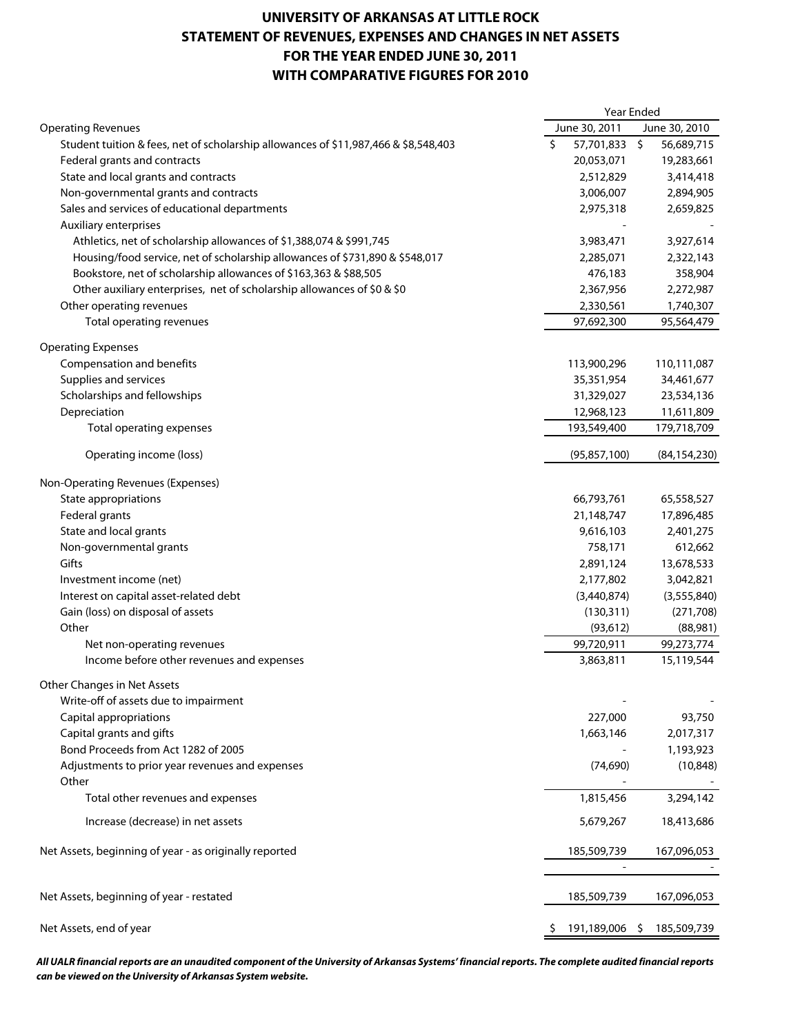## **UNIVERSITY OF ARKANSAS AT LITTLE ROCK STATEMENT OF REVENUES, EXPENSES AND CHANGES IN NET ASSETS FOR THE YEAR ENDED JUNE 30, 2011 WITH COMPARATIVE FIGURES FOR 2010**

|                                                                                     | <b>Year Ended</b> |                         |   |                        |
|-------------------------------------------------------------------------------------|-------------------|-------------------------|---|------------------------|
| <b>Operating Revenues</b>                                                           |                   | June 30, 2011           |   | June 30, 2010          |
| Student tuition & fees, net of scholarship allowances of \$11,987,466 & \$8,548,403 | \$                | 57,701,833 \$           |   | 56,689,715             |
| Federal grants and contracts                                                        |                   | 20,053,071              |   | 19,283,661             |
| State and local grants and contracts                                                |                   | 2,512,829               |   | 3,414,418              |
| Non-governmental grants and contracts                                               |                   | 3,006,007               |   | 2,894,905              |
| Sales and services of educational departments                                       |                   | 2,975,318               |   | 2,659,825              |
| Auxiliary enterprises                                                               |                   |                         |   |                        |
| Athletics, net of scholarship allowances of \$1,388,074 & \$991,745                 |                   | 3,983,471               |   | 3,927,614              |
| Housing/food service, net of scholarship allowances of \$731,890 & \$548,017        |                   | 2,285,071               |   | 2,322,143              |
| Bookstore, net of scholarship allowances of \$163,363 & \$88,505                    |                   | 476,183                 |   | 358,904                |
| Other auxiliary enterprises, net of scholarship allowances of \$0 & \$0             |                   | 2,367,956               |   | 2,272,987              |
| Other operating revenues                                                            |                   | 2,330,561               |   | 1,740,307              |
| Total operating revenues                                                            |                   | 97,692,300              |   | 95,564,479             |
| <b>Operating Expenses</b>                                                           |                   |                         |   |                        |
| Compensation and benefits                                                           |                   | 113,900,296             |   | 110,111,087            |
| Supplies and services                                                               |                   | 35,351,954              |   | 34,461,677             |
| Scholarships and fellowships                                                        |                   | 31,329,027              |   | 23,534,136             |
| Depreciation                                                                        |                   | 12,968,123              |   | 11,611,809             |
| Total operating expenses                                                            |                   | 193,549,400             |   | 179,718,709            |
|                                                                                     |                   |                         |   |                        |
| Operating income (loss)                                                             |                   | (95, 857, 100)          |   | (84, 154, 230)         |
| Non-Operating Revenues (Expenses)                                                   |                   |                         |   |                        |
| State appropriations                                                                |                   | 66,793,761              |   | 65,558,527             |
| Federal grants                                                                      |                   | 21,148,747              |   | 17,896,485             |
| State and local grants                                                              |                   | 9,616,103               |   | 2,401,275              |
| Non-governmental grants                                                             |                   | 758,171                 |   | 612,662                |
| Gifts                                                                               |                   | 2,891,124               |   | 13,678,533             |
| Investment income (net)                                                             |                   | 2,177,802               |   | 3,042,821              |
| Interest on capital asset-related debt                                              |                   | (3,440,874)             |   | (3, 555, 840)          |
| Gain (loss) on disposal of assets                                                   |                   |                         |   | (271, 708)             |
| Other                                                                               |                   | (130,311)               |   |                        |
|                                                                                     |                   | (93, 612)<br>99,720,911 |   | (88,981)<br>99,273,774 |
| Net non-operating revenues<br>Income before other revenues and expenses             |                   | 3,863,811               |   | 15,119,544             |
|                                                                                     |                   |                         |   |                        |
| Other Changes in Net Assets                                                         |                   |                         |   |                        |
| Write-off of assets due to impairment                                               |                   |                         |   |                        |
| Capital appropriations                                                              |                   | 227,000                 |   | 93,750                 |
| Capital grants and gifts                                                            |                   | 1,663,146               |   | 2,017,317              |
| Bond Proceeds from Act 1282 of 2005                                                 |                   |                         |   | 1,193,923              |
| Adjustments to prior year revenues and expenses                                     |                   | (74, 690)               |   | (10, 848)              |
| Other                                                                               |                   |                         |   |                        |
| Total other revenues and expenses                                                   |                   | 1,815,456               |   | 3,294,142              |
| Increase (decrease) in net assets                                                   |                   | 5,679,267               |   | 18,413,686             |
| Net Assets, beginning of year - as originally reported                              |                   | 185,509,739             |   | 167,096,053            |
|                                                                                     |                   |                         |   |                        |
| Net Assets, beginning of year - restated                                            |                   | 185,509,739             |   | 167,096,053            |
| Net Assets, end of year                                                             |                   | 191,189,006             | S | 185,509,739            |
|                                                                                     |                   |                         |   |                        |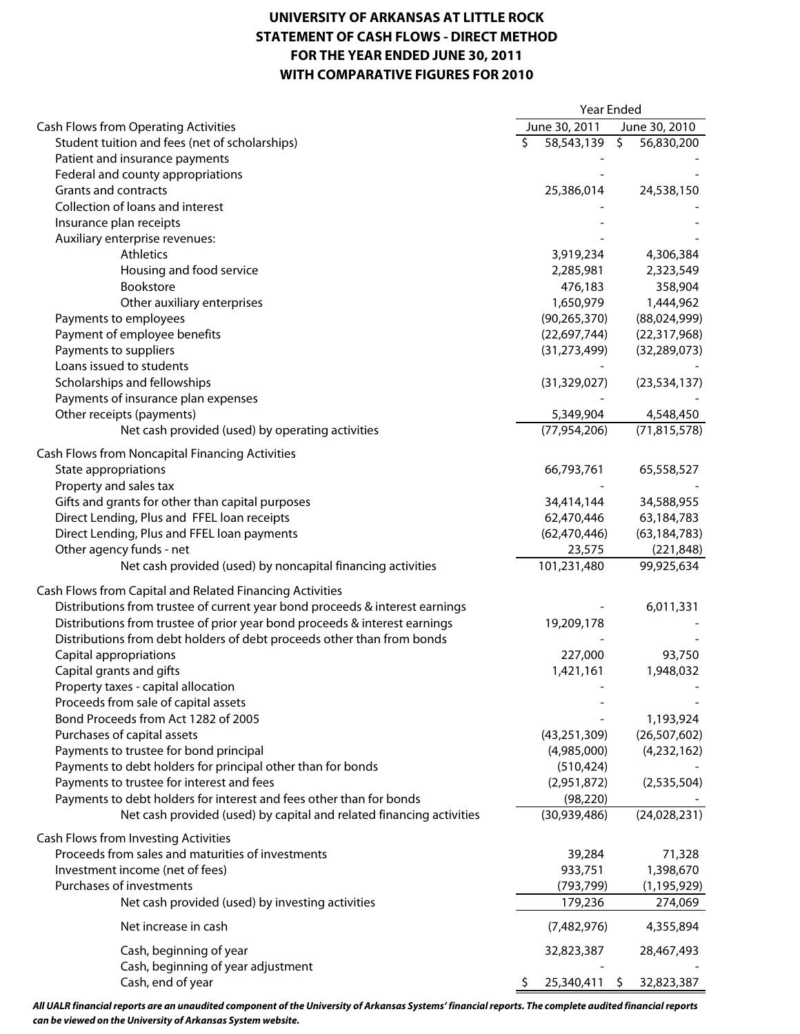## **UNIVERSITY OF ARKANSAS AT LITTLE ROCK STATEMENT OF CASH FLOWS - DIRECT METHOD FOR THE YEAR ENDED JUNE 30, 2011 WITH COMPARATIVE FIGURES FOR 2010**

|                                                                              | Year Ended |                |                          |                |
|------------------------------------------------------------------------------|------------|----------------|--------------------------|----------------|
| Cash Flows from Operating Activities                                         |            | June 30, 2011  |                          | June 30, 2010  |
| Student tuition and fees (net of scholarships)                               | Ŝ.         | 58,543,139     | $\overline{\mathcal{S}}$ | 56,830,200     |
| Patient and insurance payments                                               |            |                |                          |                |
| Federal and county appropriations                                            |            |                |                          |                |
| Grants and contracts                                                         |            | 25,386,014     |                          | 24,538,150     |
| Collection of loans and interest                                             |            |                |                          |                |
| Insurance plan receipts                                                      |            |                |                          |                |
| Auxiliary enterprise revenues:                                               |            |                |                          |                |
| <b>Athletics</b>                                                             |            | 3,919,234      |                          | 4,306,384      |
| Housing and food service                                                     |            | 2,285,981      |                          | 2,323,549      |
| Bookstore                                                                    |            | 476,183        |                          | 358,904        |
|                                                                              |            |                |                          |                |
| Other auxiliary enterprises                                                  |            | 1,650,979      |                          | 1,444,962      |
| Payments to employees                                                        |            | (90, 265, 370) |                          | (88,024,999)   |
| Payment of employee benefits                                                 |            | (22,697,744)   |                          | (22,317,968)   |
| Payments to suppliers                                                        |            | (31, 273, 499) |                          | (32, 289, 073) |
| Loans issued to students                                                     |            |                |                          |                |
| Scholarships and fellowships                                                 |            | (31, 329, 027) |                          | (23, 534, 137) |
| Payments of insurance plan expenses                                          |            |                |                          |                |
| Other receipts (payments)                                                    |            | 5,349,904      |                          | 4,548,450      |
| Net cash provided (used) by operating activities                             |            | (77, 954, 206) |                          | (71, 815, 578) |
| <b>Cash Flows from Noncapital Financing Activities</b>                       |            |                |                          |                |
| State appropriations                                                         |            | 66,793,761     |                          | 65,558,527     |
| Property and sales tax                                                       |            |                |                          |                |
| Gifts and grants for other than capital purposes                             |            |                |                          | 34,588,955     |
|                                                                              |            | 34,414,144     |                          |                |
| Direct Lending, Plus and FFEL loan receipts                                  |            | 62,470,446     |                          | 63,184,783     |
| Direct Lending, Plus and FFEL loan payments                                  |            | (62, 470, 446) |                          | (63, 184, 783) |
| Other agency funds - net                                                     |            | 23,575         |                          | (221, 848)     |
| Net cash provided (used) by noncapital financing activities                  |            | 101,231,480    |                          | 99,925,634     |
| Cash Flows from Capital and Related Financing Activities                     |            |                |                          |                |
| Distributions from trustee of current year bond proceeds & interest earnings |            |                |                          | 6,011,331      |
| Distributions from trustee of prior year bond proceeds & interest earnings   |            | 19,209,178     |                          |                |
| Distributions from debt holders of debt proceeds other than from bonds       |            |                |                          |                |
| Capital appropriations                                                       |            | 227,000        |                          | 93,750         |
| Capital grants and gifts                                                     |            | 1,421,161      |                          | 1,948,032      |
| Property taxes - capital allocation                                          |            |                |                          |                |
| Proceeds from sale of capital assets                                         |            |                |                          |                |
| Bond Proceeds from Act 1282 of 2005                                          |            |                |                          | 1,193,924      |
|                                                                              |            |                |                          |                |
| Purchases of capital assets                                                  |            | (43, 251, 309) |                          | (26, 507, 602) |
| Payments to trustee for bond principal                                       |            | (4,985,000)    |                          | (4,232,162)    |
| Payments to debt holders for principal other than for bonds                  |            | (510, 424)     |                          |                |
| Payments to trustee for interest and fees                                    |            | (2,951,872)    |                          | (2,535,504)    |
| Payments to debt holders for interest and fees other than for bonds          |            | (98, 220)      |                          |                |
| Net cash provided (used) by capital and related financing activities         |            | (30,939,486)   |                          | (24,028,231)   |
| Cash Flows from Investing Activities                                         |            |                |                          |                |
| Proceeds from sales and maturities of investments                            |            | 39,284         |                          | 71,328         |
| Investment income (net of fees)                                              |            | 933,751        |                          | 1,398,670      |
| Purchases of investments                                                     |            | (793, 799)     |                          | (1, 195, 929)  |
| Net cash provided (used) by investing activities                             |            | 179,236        |                          | 274,069        |
|                                                                              |            |                |                          |                |
| Net increase in cash                                                         |            | (7,482,976)    |                          | 4,355,894      |
| Cash, beginning of year                                                      |            | 32,823,387     |                          | 28,467,493     |
| Cash, beginning of year adjustment                                           |            |                |                          |                |
| Cash, end of year                                                            | Ş          | 25,340,411     | $\mathsf{S}$             | 32,823,387     |